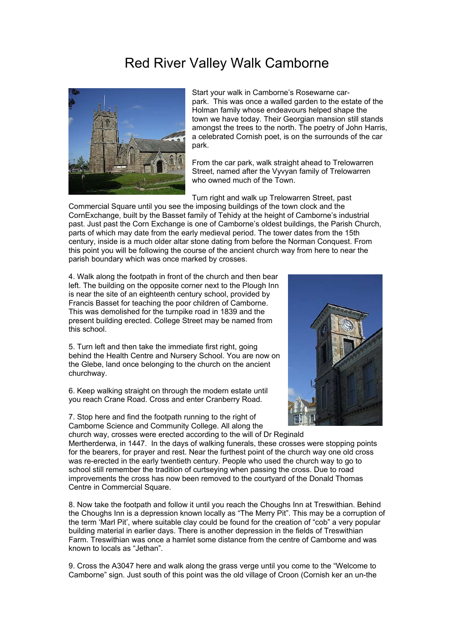## Red River Valley Walk Camborne



park. This was once a walled garden to the estate of the amongst the trees to the north. The poetry of John Harris, a celebrated Cornish poet, is on the surrounds of the car Start your walk in Camborne's Rosewarne car-Holman family whose endeavours helped shape the town we have today. Their Georgian mansion still stands park.

From the car park, walk straight ahead to Trelowarren Street, named after the Vyvyan family of Trelowarren who owned much of the Town.

Turn right and walk up Trelowarren Street, past

Commercial Square until you see the imposing buildings of the town clock and the CornExchange, built by the Basset family of Tehidy at the height of Camborne's industrial past. Just past the Corn Exchange is one of Camborne's oldest buildings, the Parish Church, parts of which may date from the early medieval period. The tower dates from the 15th century, inside is a much older altar stone dating from before the Norman Conquest. From this point you will be following the course of the ancient church way from here to near the parish boundary which was once marked by crosses.

4. Walk along the footpath in front of the church and then bear left. The building on the opposite corner next to the Plough Inn is near the site of an eighteenth century school, provided by Francis Basset for teaching the poor children of Camborne. This was demolished for the turnpike road in 1839 and the present building erected. College Street may be named from this school.

5. Turn left and then take the immediate first right, going behind the Health Centre and Nursery School. You are now on the Glebe, land once belonging to the church on the ancient churchway.

6. Keep walking straight on through the modern estate until you reach Crane Road. Cross and enter Cranberry Road.

7. Stop here and find the footpath running to the right of Camborne Science and Community College. All along the church way, crosses were erected according to the will of Dr Reginald



Mertherderwa, in 1447. In the days of walking funerals, these crosses were stopping points for the bearers, for prayer and rest. Near the furthest point of the church way one old cross was re-erected in the early twentieth century. People who used the church way to go to school still remember the tradition of curtseying when passing the cross. Due to road improvements the cross has now been removed to the courtyard of the Donald Thomas Centre in Commercial Square.

8. Now take the footpath and follow it until you reach the Choughs Inn at Treswithian. Behind the Choughs Inn is a depression known locally as "The Merry Pit". This may be a corruption of the term 'Marl Pit', where suitable clay could be found for the creation of "cob" a very popular building material in earlier days. There is another depression in the fields of Treswithian Farm. Treswithian was once a hamlet some distance from the centre of Camborne and was known to locals as "Jethan".

9. Cross the A3047 here and walk along the grass verge until you come to the "Welcome to Camborne" sign. Just south of this point was the old village of Croon (Cornish ker an un-the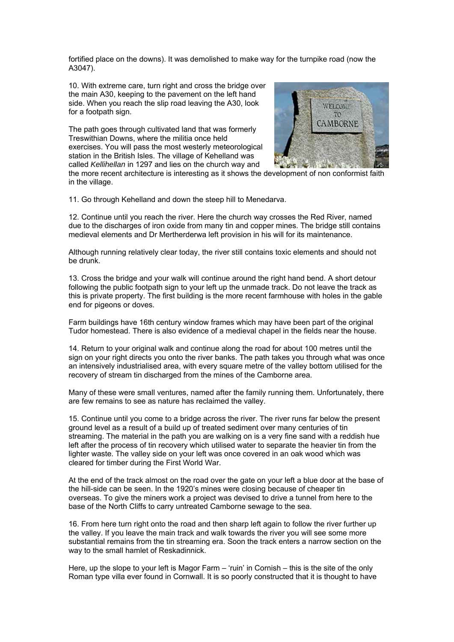fortified place on the downs). It was demolished to make way for the turnpike road (now the A3047).

10. With extreme care, turn right and cross the bridge over the main A30, keeping to the pavement on the left hand side. When you reach the slip road leaving the A30, look for a footpath sign.

The path goes through cultivated land that was formerly Treswithian Downs, where the militia once held exercises. You will pass the most westerly meteorological station in the British Isles. The village of Kehelland was called *Kellihellan* in 1297 and lies on the church way and



the more recent architecture is interesting as it shows the development of non conformist faith in the village.

11. Go through Kehelland and down the steep hill to Menedarva.

12. Continue until you reach the river. Here the church way crosses the Red River, named due to the discharges of iron oxide from many tin and copper mines. The bridge still contains medieval elements and Dr Mertherderwa left provision in his will for its maintenance.

Although running relatively clear today, the river still contains toxic elements and should not be drunk.

13. Cross the bridge and your walk will continue around the right hand bend. A short detour following the public footpath sign to your left up the unmade track. Do not leave the track as this is private property. The first building is the more recent farmhouse with holes in the gable end for pigeons or doves.

Farm buildings have 16th century window frames which may have been part of the original Tudor homestead. There is also evidence of a medieval chapel in the fields near the house.

14. Return to your original walk and continue along the road for about 100 metres until the sign on your right directs you onto the river banks. The path takes you through what was once an intensively industrialised area, with every square metre of the valley bottom utilised for the recovery of stream tin discharged from the mines of the Camborne area.

Many of these were small ventures, named after the family running them. Unfortunately, there are few remains to see as nature has reclaimed the valley.

15. Continue until you come to a bridge across the river. The river runs far below the present ground level as a result of a build up of treated sediment over many centuries of tin streaming. The material in the path you are walking on is a very fine sand with a reddish hue left after the process of tin recovery which utilised water to separate the heavier tin from the lighter waste. The valley side on your left was once covered in an oak wood which was cleared for timber during the First World War.

At the end of the track almost on the road over the gate on your left a blue door at the base of the hill-side can be seen. In the 1920's mines were closing because of cheaper tin overseas. To give the miners work a project was devised to drive a tunnel from here to the base of the North Cliffs to carry untreated Camborne sewage to the sea.

16. From here turn right onto the road and then sharp left again to follow the river further up the valley. If you leave the main track and walk towards the river you will see some more substantial remains from the tin streaming era. Soon the track enters a narrow section on the way to the small hamlet of Reskadinnick.

Here, up the slope to your left is Magor Farm – 'ruin' in Cornish – this is the site of the only Roman type villa ever found in Cornwall. It is so poorly constructed that it is thought to have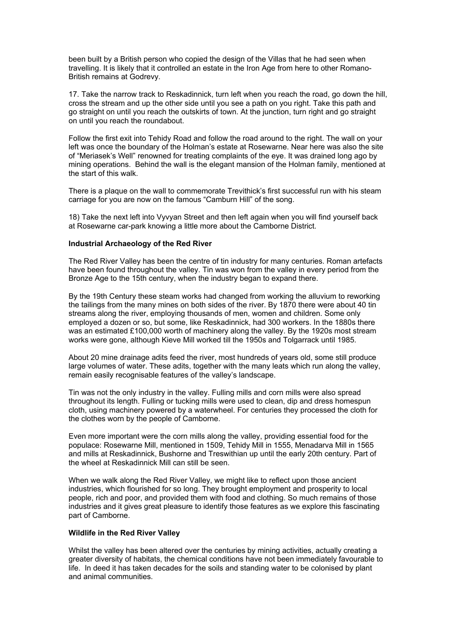been built by a British person who copied the design of the Villas that he had seen when travelling. It is likely that it controlled an estate in the Iron Age from here to other Romano-British remains at Godrevy.

17. Take the narrow track to Reskadinnick, turn left when you reach the road, go down the hill, cross the stream and up the other side until you see a path on you right. Take this path and go straight on until you reach the outskirts of town. At the junction, turn right and go straight on until you reach the roundabout.

Follow the first exit into Tehidy Road and follow the road around to the right. The wall on your left was once the boundary of the Holman's estate at Rosewarne. Near here was also the site of "Meriasek's Well" renowned for treating complaints of the eye. It was drained long ago by mining operations. Behind the wall is the elegant mansion of the Holman family, mentioned at the start of this walk.

There is a plaque on the wall to commemorate Trevithick's first successful run with his steam carriage for you are now on the famous "Camburn Hill" of the song.

18) Take the next left into Vyvyan Street and then left again when you will find yourself back at Rosewarne car-park knowing a little more about the Camborne District.

## **Industrial Archaeology of the Red River**

The Red River Valley has been the centre of tin industry for many centuries. Roman artefacts have been found throughout the valley. Tin was won from the valley in every period from the Bronze Age to the 15th century, when the industry began to expand there.

By the 19th Century these steam works had changed from working the alluvium to reworking the tailings from the many mines on both sides of the river. By 1870 there were about 40 tin streams along the river, employing thousands of men, women and children. Some only employed a dozen or so, but some, like Reskadinnick, had 300 workers. In the 1880s there was an estimated £100,000 worth of machinery along the valley. By the 1920s most stream works were gone, although Kieve Mill worked till the 1950s and Tolgarrack until 1985.

About 20 mine drainage adits feed the river, most hundreds of years old, some still produce large volumes of water. These adits, together with the many leats which run along the valley, remain easily recognisable features of the valley's landscape.

Tin was not the only industry in the valley. Fulling mills and corn mills were also spread throughout its length. Fulling or tucking mills were used to clean, dip and dress homespun cloth, using machinery powered by a waterwheel. For centuries they processed the cloth for the clothes worn by the people of Camborne.

Even more important were the corn mills along the valley, providing essential food for the populace: Rosewarne Mill, mentioned in 1509, Tehidy Mill in 1555, Menadarva Mill in 1565 and mills at Reskadinnick, Bushorne and Treswithian up until the early 20th century. Part of the wheel at Reskadinnick Mill can still be seen.

When we walk along the Red River Valley, we might like to reflect upon those ancient industries, which flourished for so long. They brought employment and prosperity to local people, rich and poor, and provided them with food and clothing. So much remains of those industries and it gives great pleasure to identify those features as we explore this fascinating part of Camborne.

## **Wildlife in the Red River Valley**

Whilst the valley has been altered over the centuries by mining activities, actually creating a greater diversity of habitats, the chemical conditions have not been immediately favourable to life. In deed it has taken decades for the soils and standing water to be colonised by plant and animal communities.